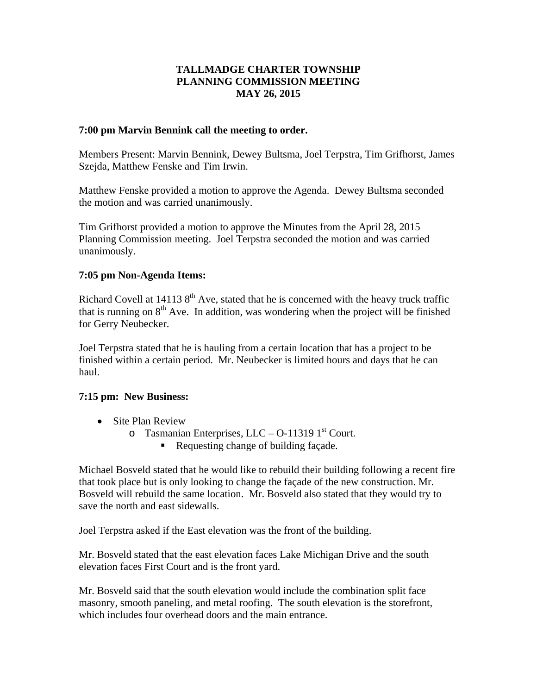# **TALLMADGE CHARTER TOWNSHIP PLANNING COMMISSION MEETING MAY 26, 2015**

### **7:00 pm Marvin Bennink call the meeting to order.**

Members Present: Marvin Bennink, Dewey Bultsma, Joel Terpstra, Tim Grifhorst, James Szejda, Matthew Fenske and Tim Irwin.

Matthew Fenske provided a motion to approve the Agenda. Dewey Bultsma seconded the motion and was carried unanimously.

Tim Grifhorst provided a motion to approve the Minutes from the April 28, 2015 Planning Commission meeting. Joel Terpstra seconded the motion and was carried unanimously.

## **7:05 pm Non-Agenda Items:**

Richard Covell at 14113  $8<sup>th</sup>$  Ave, stated that he is concerned with the heavy truck traffic that is running on  $8<sup>th</sup>$  Ave. In addition, was wondering when the project will be finished for Gerry Neubecker.

Joel Terpstra stated that he is hauling from a certain location that has a project to be finished within a certain period. Mr. Neubecker is limited hours and days that he can haul.

#### **7:15 pm: New Business:**

- Site Plan Review
	- $\circ$  Tasmanian Enterprises, LLC O-11319 1<sup>st</sup> Court.
		- Requesting change of building façade.

Michael Bosveld stated that he would like to rebuild their building following a recent fire that took place but is only looking to change the façade of the new construction. Mr. Bosveld will rebuild the same location. Mr. Bosveld also stated that they would try to save the north and east sidewalls.

Joel Terpstra asked if the East elevation was the front of the building.

Mr. Bosveld stated that the east elevation faces Lake Michigan Drive and the south elevation faces First Court and is the front yard.

Mr. Bosveld said that the south elevation would include the combination split face masonry, smooth paneling, and metal roofing. The south elevation is the storefront, which includes four overhead doors and the main entrance.